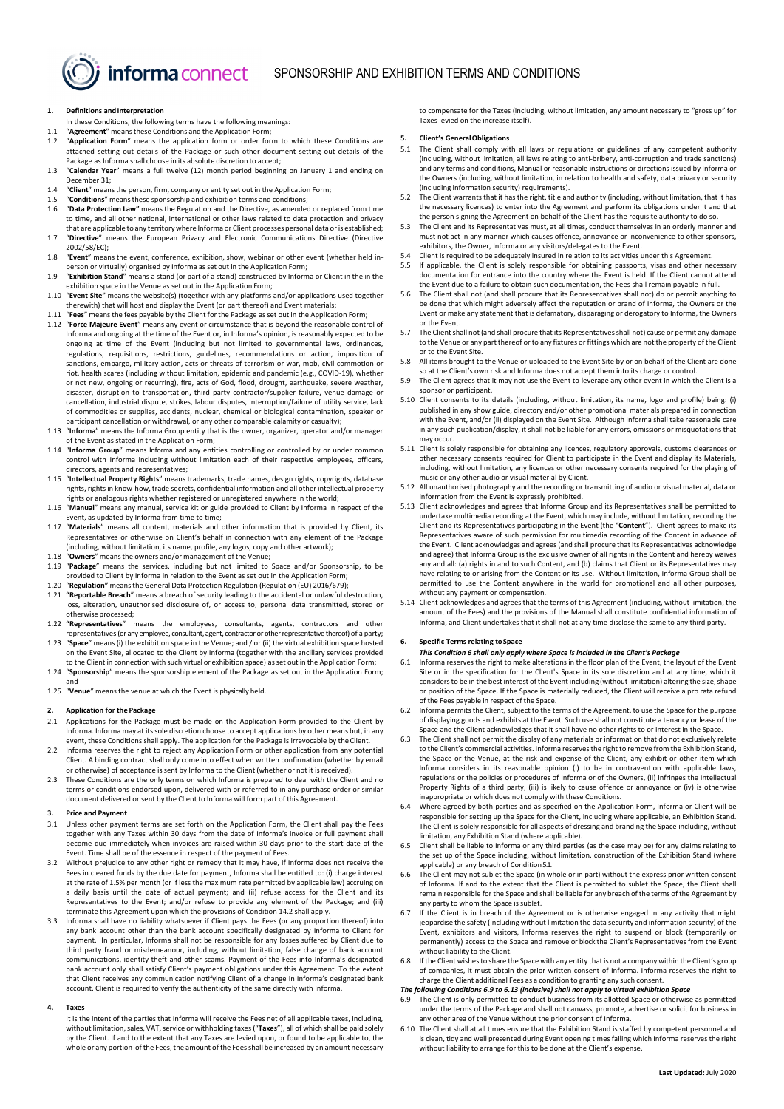# **1. Definitions andInterpretation**

In these Conditions, the following terms have the following meanings: 1.1 "**Agreement**" meansthese Conditions and the Application Form;

informa connect

- 1.2 "**Application Form**" means the application form or order form to which these Conditions are attached setting out details of the Package or such other document setting out details of the
- Package as Informa shall choose in its absolute discretion to accept; 1.3 "**Calendar Year**" means a full twelve (12) month period beginning on January 1 and ending on December 31;
- 1.4 "**Client**" meansthe person, firm, company or entity set out in the Application Form;
- 1.5 **"Conditions"** means these sponsorship and exhibition terms and conditions;<br>1.6 **"Data Protection Law"** means the Regulation and the Directive as amende 1.6 "**Data Protection Law"** means the Regulation and the Directive, as amended or replaced from time to time, and all other national, international or other laws related to data protection and privacy
- that are applicable to any territory where Informa or Client processes personal data or is established; 1.7 "**Directive**" means the European Privacy and Electronic Communications Directive (Directive 2002/58/EC);
- 1.8 "**Event**" means the event, conference, exhibition, show, webinar or other event (whether held inperson or virtually) organised by Informa as set out in the Application Form;
- 1.9 "**Exhibition Stand**" means a stand (or part of a stand) constructed by Informa or Client in the in the exhibition space in the Venue as set out in the Application Form; 1.10 "**Event Site**" means the website(s) (together with any platforms and/or applications used together
- therewith) that will host and display the Event (or part thereof) and Event materials;
- 1.11 "**Fees**" meansthe fees payable by the Client for the Package as set out in the Application Form; 1.12 "**Force Majeure Event**" means any event or circumstance that is beyond the reasonable control of Informa and ongoing at the time of the Event or, in Informa's opinion, is reasonably expected to be ongoing at time of the Event (including but not limited to governmental laws, ordinances, regulations, requisitions, restrictions, guidelines, recommendations or action, imposition of sanctions, embargo, military action, acts or threats of terrorism or war, mob, civil commotion or riot, health scares (including without limitation, epidemic and pandemic (e.g., COVID-19), whether or not new, ongoing or recurring), fire, acts of God, flood, drought, earthquake, severe weather, disaster, disruption to transportation, third party contractor/supplier failure, venue damage or cancellation, industrial dispute, strikes, labour disputes, interruption/failure of utility service, lack of commodities or supplies, accidents, nuclear, chemical or biological contamination, speaker or participant cancellation or withdrawal, or any other comparable calamity or casualty);
- 1.13 "**Informa**" means the Informa Group entity that is the owner, organizer, operator and/or manager of the Event as stated in the Application Form;
- 1.14 "**Informa Group**" means Informa and any entities controlling or controlled by or under common control with Informa including without limitation each of their respective employees, officers directors, agents and representatives;
- 1.15 "**Intellectual Property Rights**" means trademarks, trade names, design rights, copyrights, database rights, rights in know-how, trade secrets, confidential information and all other intellectual property rights or analogous rights whether registered or unregistered anywhere in the world;
- 1.16 "**Manual**" means any manual, service kit or guide provided to Client by Informa in respect of the Event, as updated by Informa from time to time;
- 1.17 "**Materials**" means all content, materials and other information that is provided by Client, its Representatives or otherwise on Client's behalf in connection with any element of the Package (including, without limitation, its name, profile, any logos, copy and other artwork);
- 1.18 "**Owners**" meansthe owners and/or management of the Venue;
- 1.19 "**Package**" means the services, including but not limited to Space and/or Sponsorship, to be provided to Client by Informa in relation to the Event as set out in the Application Form; 1.20 "**Regulation"** meansthe General Data Protection Regulation (Regulation (EU) 2016/679);
- 
- 1.21 **"Reportable Breach**" means a breach of security leading to the accidental or unlawful destruction, loss, alteration, unauthorised disclosure of, or access to, personal data transmitted, stored or otherwise processed;
- 1.22 **"Representatives**" means the employees, consultants, agents, contractors and other representatives(or any employee, consultant, agent, contractor or other representative thereof) of a party;
- 1.23 "**Space**" means (i) the exhibition space in the Venue; and / or (ii) the virtual exhibition space hosted on the Event Site, allocated to the Client by Informa (together with the ancillary services provided to the Client in connection with such virtual or exhibition space) asset out in the Application Form;
- 1.24 "**Sponsorship**" means the sponsorship element of the Package as set out in the Application Form; and
- 1.25 "**Venue**" means the venue at which the Event is physically held.

## **2. Application for the Package**

- 2.1 Applications for the Package must be made on the Application Form provided to the Client by Informa. Informa may at its sole discretion choose to accept applications by other means but, in any event, these Conditions shall apply. The application for the Package is irrevocable by theClient.
- 2.2 Informa reserves the right to reject any Application Form or other application from any potential Client. A binding contract shall only come into effect when written confirmation (whether by email or otherwise) of acceptance is sent by Informa to the Client (whether or not it is received).
- 2.3 These Conditions are the only terms on which Informa is prepared to deal with the Client and no terms or conditions endorsed upon, delivered with or referred to in any purchase order or similar document delivered or sent by the Client to Informa will form part of this Agreement.

# **3. Price and Payment**

- 3.1 Unless other payment terms are set forth on the Application Form, the Client shall pay the Fees together with any Taxes within 30 days from the date of Informa's invoice or full payment shall become due immediately when invoices are raised within 30 days prior to the start date of the Event. Time shall be of the essence in respect of the payment of Fees.
- <span id="page-0-3"></span>3.2 Without prejudice to any other right or remedy that it may have, if Informa does not receive the Fees in cleared funds by the due date for payment, Informa shall be entitled to: (i) charge interest at the rate of 1.5% per month (or if less the maximum rate permitted by applicable law) accruing on a daily basis until the date of actual payment; and (ii) refuse access for the Client and its Representatives to the Event; and/or refuse to provide any element of the Package; and (iii)
- terminate this Agreement upon which the provisions of Conditio[n 14.2](#page-2-0) shall apply. 3.3 Informa shall have no liability whatsoever if Client pays the Fees (or any proportion thereof) into any bank account other than the bank account specifically designated by Informa to Client for payment. In particular, Informa shall not be responsible for any losses suffered by Client due to third party fraud or misdemeanour, including, without limitation, false change of bank account communications, identity theft and other scams. Payment of the Fees into Informa's designated bank account only shall satisfy Client's payment obligations under this Agreement. To the extent that Client receives any communication notifying Client of a change in Informa's designated bank account, Client is required to verify the authenticity of the same directly with Informa.

#### **4. Taxes**

It is the intent of the parties that Informa will receive the Fees net of all applicable taxes, including, without limitation, sales, VAT, service or withholding taxes ("**Taxes**"), all of which shall be paid solely by the Client. If and to the extent that any Taxes are levied upon, or found to be applicable to, the whole or any portion of the Fees, the amount of the Fees shall be increased by an amount necessary

to compensate for the Taxes (including, without limitation, any amount necessary to "gross up" for Taxes levied on the increase itself).

# **5. Client's GeneralObligations**

- <span id="page-0-1"></span>5.1 The Client shall comply with all laws or regulations or guidelines of any competent authority (including, without limitation, all laws relating to anti-bribery, anti-corruption and trade sanctions) and any terms and conditions, Manual or reasonable instructions or directions issued by Informa or the Owners (including, without limitation, in relation to health and safety, data privacy or security (including information security) requirements).
- 5.2 The Client warrants that it has the right, title and authority (including, without limitation, that it has the necessary licences) to enter into the Agreement and perform its obligations under it and that the person signing the Agreement on behalf of the Client has the requisite authority to do so.
- 5.3 The Client and its Representatives must, at all times, conduct themselves in an orderly manner and must not act in any manner which causes offence, annoyance or inconvenience to other sponsors,
- exhibitors, the Owner, Informa or any visitors/delegates to the Event. 5.4 Client is required to be adequately insured in relation to its activities under this Agreement.
- 5.5 If applicable, the Client is solely responsible for obtaining passports, visas and other necessary documentation for entrance into the country where the Event is held. If the Client cannot attend the Event due to a failure to obtain such documentation, the Fees shall remain payable in full.
- 5.6 The Client shall not (and shall procure that its Representatives shall not) do or permit anything to be done that which might adversely affect the reputation or brand of Informa, the Owners or the Event or make any statement that is defamatory, disparaging or derogatory to Informa, the Owners or the Event.
- 5.7 The Client shall not (and shall procure that its Representatives shall not) cause or permit any damage to the Venue or any part thereof or to any fixtures or fittings which are not the property of the Client or to the Event Site.
- All items brought to the Venue or uploaded to the Event Site by or on behalf of the Client are done so at the Client's own risk and Informa does not accept them into its charge or control.
- 5.9 The Client agrees that it may not use the Event to leverage any other event in which the Client is a sponsor or participant.
- 5.10 Client consents to its details (including, without limitation, its name, logo and profile) being: (i) published in any show guide, directory and/or other promotional materials prepared in connection with the Event, and/or (ii) displayed on the Event Site. Although Informa shall take reasonable care in any such publication/display, it shall not be liable for any errors, omissions or misquotations that may occur.
- 5.11 Client is solely responsible for obtaining any licences, regulatory approvals, customs clearances or other necessary consents required for Client to participate in the Event and display its Materials, including, without limitation, any licences or other necessary consents required for the playing of music or any other audio or visual material by Client.
- 5.12 All unauthorised photography and the recording or transmitting of audio or visual material, data or information from the Event is expressly prohibited. 5.13 Client acknowledges and agrees that Informa Group and its Representatives shall be permitted to
- undertake multimedia recording at the Event, which may include, without limitation, recording the Client and its Representatives participating in the Event (the "**Content**"). Client agrees to make its Representatives aware of such permission for multimedia recording of the Content in advance of the Event. Client acknowledges and agrees (and shall procure that its Representatives acknowledge and agree) that Informa Group is the exclusive owner of all rights in the Content and hereby waives any and all: (a) rights in and to such Content, and (b) claims that Client or its Representatives may have relating to or arising from the Content or its use. Without limitation, Informa Group shall be permitted to use the Content anywhere in the world for promotional and all other purposes, without any payment or compensation. 5.14 Client acknowledges and agrees that the terms of this Agreement (including, without limitation, the
- amount of the Fees) and the provisions of the Manual shall constitute confidential information of Informa, and Client undertakes that it shall not at any time disclose the same to any third party.

## <span id="page-0-0"></span>**6. Specific Terms relating toSpace**

# *This Conditio[n 6](#page-0-0) shall only apply where Space is included in the Client's Package*

- 6.1 Informa reserves the right to make alterations in the floor plan of the Event, the layout of the Event Site or in the specification for the Client's Space in its sole discretion and at any time, which it considers to be in the best interest of the Event including (without limitation) altering the size, shape or position of the Space. If the Space is materially reduced, the Client will receive a pro rata refund of the Fees payable in respect of the Space.
- 6.2 Informa permits the Client, subject to the terms of the Agreement, to use the Space for the purpose of displaying goods and exhibits at the Event. Such use shall not constitute a tenancy or lease of the Space and the Client acknowledges that it shall have no other rights to or interest in the Space.
- The Client shall not permit the display of any materials or information that do not exclusively relate to the Client's commercial activities. Informa reserves the right to remove from the Exhibition Stand, the Space or the Venue, at the risk and expense of the Client, any exhibit or other item which Informa considers in its reasonable opinion (i) to be in contravention with applicable laws, regulations or the policies or procedures of Informa or of the Owners, (ii) infringes the Intellectual Property Rights of a third party, (iii) is likely to cause offence or annoyance or (iv) is otherwise inappropriate or which does not comply with these Conditions.
- 6.4 Where agreed by both parties and as specified on the Application Form, Informa or Client will be responsible for setting up the Space for the Client, including where applicable, an Exhibition Stand. The Client is solely responsible for all aspects of dressing and branding the Space including, without limitation, any Exhibition Stand (where applicable).
- 6.5 Client shall be liable to Informa or any third parties (as the case may be) for any claims relating to the set up of the Space including, without limitation, construction of the Exhibition Stand (where applicable) or any breach of Condition 5.1.
- 6.6 The Client may not sublet the Space (in whole or in part) without the express prior written consent of Informa. If and to the extent that the Client is permitted to sublet the Space, the Client shall remain responsible for the Space and shall be liable for any breach of the terms of the Agreement by any party to whom the Space is sublet.
- If the Client is in breach of the Agreement or is otherwise engaged in any activity that might jeopardise the safety (including without limitation the data security and information security) of the Event, exhibitors and visitors, Informa reserves the right to suspend or block (temporarily or permanently) access to the Space and remove or block the Client's Representatives from the Event without liability to the Client.
- If the Client wishes to share the Space with any entity that is not a company within the Client's group of companies, it must obtain the prior written consent of Informa. Informa reserves the right to

#### charge the Client additional Fees as a condition to granting any such consent.<br>The following Conditions 6.9 to 6.13 (inclusive) shall not goply to virtual exhibitions *The following Condition[s 6.9](#page-0-2) t[o 6.13](#page-1-0) (inclusive) shall not apply to virtual exhibition Space*

- <span id="page-0-2"></span>6.9 The Client is only permitted to conduct business from its allotted Space or otherwise as permitted under the terms of the Package and shall not canvass, promote, advertise or solicit for business in
- any other area of the Venue without the prior consent of Informa. 6.10 The Client shall at all times ensure that the Exhibition Stand is staffed by competent personnel and is clean, tidy and well presented during Event opening times failing which Informa reserves the right without liability to arrange for this to be done at the Client's expense.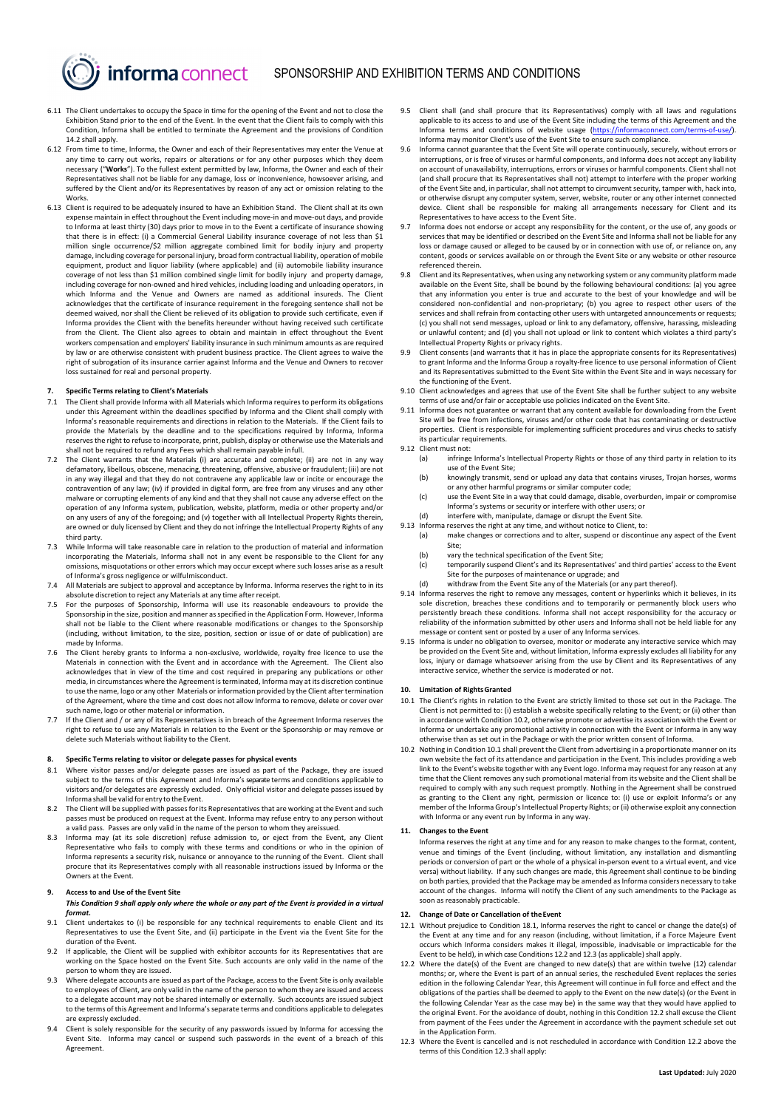<span id="page-1-7"></span>6.11 The Client undertakes to occupy the Space in time for the opening of the Event and not to close the Exhibition Stand prior to the end of the Event. In the event that the Client fails to comply with this Condition, Informa shall be entitled to terminate the Agreement and the provisions of Condition [14.2](#page-2-0) shall apply.

informa connect

- 6.12 From time to time, Informa, the Owner and each of their Representatives may enter the Venue at any time to carry out works, repairs or alterations or for any other purposes which they deem necessary ("**Works**"). To the fullest extent permitted by law, Informa, the Owner and each of their Representatives shall not be liable for any damage, loss or inconvenience, howsoever arising, and suffered by the Client and/or its Representatives by reason of any act or omission relating to the Works.
- <span id="page-1-0"></span>6.13 Client is required to be adequately insured to have an Exhibition Stand. The Client shall at its own expense maintain in effect throughout the Event including move-in and move-out days, and provide to Informa at least thirty (30) days prior to move in to the Event a certificate of insurance showing that there is in effect: (i) a Commercial General Liability insurance coverage of not less than \$1 million single occurrence/\$2 million aggregate combined limit for bodily injury and property damage, including coverage for personal injury, broad form contractual liability, operation of mobile equipment, product and liquor liability (where applicable) and (ii) automobile liability insurance coverage of not less than \$1 million combined single limit for bodily injury and property damage, including coverage for non-owned and hired vehicles, including loading and unloading operators, in which Informa and the Venue and Owners are named as additional insureds. The Client acknowledges that the certificate of insurance requirement in the foregoing sentence shall not be deemed waived, nor shall the Client be relieved of its obligation to provide such certificate, even if Informa provides the Client with the benefits hereunder without having received such certificate from the Client. The Client also agrees to obtain and maintain in effect throughout the Event workers compensation and employers' liability insurance in such minimum amounts as are required by law or are otherwise consistent with prudent business practice. The Client agrees to waive the right of subrogation of its insurance carrier against Informa and the Venue and Owners to recover loss sustained for real and personal property.

#### **7. Specific Terms relating to Client's Materials**

- 7.1 The Client shall provide Informa with all Materials which Informa requires to perform its obligations under this Agreement within the deadlines specified by Informa and the Client shall comply with Informa's reasonable requirements and directions in relation to the Materials. If the Client fails to provide the Materials by the deadline and to the specifications required by Informa, Informa<br>reserves the right to refuse to incorporate, print, publish, display or otherwise use the Materials and shall not be required to refund any Fees which shall remain payable infull.
- 7.2 The Client warrants that the Materials (i) are accurate and complete; (ii) are not in any way defamatory, libellous, obscene, menacing, threatening, offensive, abusive or fraudulent; (iii) are not in any way illegal and that they do not contravene any applicable law or incite or encourage the contravention of any law; (iv) if provided in digital form, are free from any viruses and any other malware or corrupting elements of any kind and that they shall not cause any adverse effect on the operation of any Informa system, publication, website, platform, media or other property and/or on any users of any of the foregoing; and (v) together with all Intellectual Property Rights therein, are owned or duly licensed by Client and they do not infringe the Intellectual Property Rights of any third party.
- 7.3 While Informa will take reasonable care in relation to the production of material and information incorporating the Materials, Informa shall not in any event be responsible to the Client for any omissions, misquotations or other errors which may occur except where such losses arise as a result
- of Informa's gross negligence or wilfulmisconduct. 7.4 All Materials are subject to approval and acceptance by Informa. Informa reserves the right to in its absolute discretion to reject any Materials at any time after receipt.
- 7.5 For the purposes of Sponsorship, Informa will use its reasonable endeavours to provide the Sponsorship in the size, position and manner as specified in the Application Form. However, Informa shall not be liable to the Client where reasonable modifications or changes to the Sponsorship (including, without limitation, to the size, position, section or issue of or date of publication) are made by Informa.
- <span id="page-1-8"></span>7.6 The Client hereby grants to Informa a non-exclusive, worldwide, royalty free licence to use the Materials in connection with the Event and in accordance with the Agreement. The Client also acknowledges that in view of the time and cost required in preparing any publications or other media, in circumstances where the Agreement is terminated, Informa may at its discretion continue to use the name, logo or any other Materials or information provided by the Client after termination of the Agreement, where the time and cost does not allow Informa to remove, delete or cover over such name, logo or other material or information.
- If the Client and / or any of its Representatives is in breach of the Agreement Informa reserves the right to refuse to use any Materials in relation to the Event or the Sponsorship or may remove or delete such Materials without liability to the Client.

# **8. Specific Terms relating to visitor or delegate passes for physical events**

- 8.1 Where visitor passes and/or delegate passes are issued as part of the Package, they are issued subject to the terms of this Agreement and Informa's separate terms and conditions applicable to visitors and/or delegates are expressly excluded. Only official visitor and delegate passes issued by Informa shall be valid for entry to the Event.
- The Client will be supplied with passes for its Representatives that are working at the Event and such passes must be produced on request at the Event. Informa may refuse entry to any person without a valid pass. Passes are only valid in the name of the person to whom they areissued.
- 8.3 Informa may (at its sole discretion) refuse admission to, or eject from the Event, any Client Representative who fails to comply with these terms and conditions or who in the opinion of Informa represents a security risk, nuisance or annoyance to the running of the Event. Client shall procure that its Representatives comply with all reasonable instructions issued by Informa or the Owners at the Event.

## <span id="page-1-1"></span>**9. Access to and Use of the Event Site**

- *This Condition [9](#page-1-1) shall apply only where the whole or any part of the Event is provided in a virtual format.*
- 9.1 Client undertakes to (i) be responsible for any technical requirements to enable Client and its Representatives to use the Event Site, and (ii) participate in the Event via the Event Site for the duration of the Event.
- 9.2 If applicable, the Client will be supplied with exhibitor accounts for its Representatives that are working on the Space hosted on the Event Site. Such accounts are only valid in the name of the person to whom they are issued.
- 9.3 Where delegate accounts are issued as part of the Package, access to the Event Site is only available to employees of Client, are only valid in the name of the person to whom they are issued and access to a delegate account may not be shared internally or externally. Such accounts are issued subject to the terms of this Agreement and Informa's separate terms and conditions applicable to delegates are expressly excluded.
- 9.4 Client is solely responsible for the security of any passwords issued by Informa for accessing the Event Site. Informa may cancel or suspend such passwords in the event of a breach of this Agreement.
- 9.5 Client shall (and shall procure that its Representatives) comply with all laws and regulations applicable to its access to and use of the Event Site including the terms of this Agreement and the Informa terms and conditions of website usage [\(https://informaconnect.com/terms-of-use/\).](https://informaconnect.com/terms-of-use/) Informa may monitor Client's use of the Event Site to ensure such compliance.
- 9.6 Informa cannot guarantee that the Event Site will operate continuously, securely, without errors or interruptions, or is free of viruses or harmful components, and Informa does not accept any liability on account of unavailability, interruptions, errors or viruses or harmful components. Client shall not (and shall procure that its Representatives shall not) attempt to interfere with the proper working of the Event Site and, in particular, shall not attempt to circumvent security, tamper with, hack into, or otherwise disrupt any computer system, server, website, router or any other internet connected device. Client shall be responsible for making all arrangements necessary for Client and its
- Representatives to have access to the Event Site. 9.7 Informa does not endorse or accept any responsibility for the content, or the use of, any goods or services that may be identified or described on the Event Site and Informa shall not be liable for any services that may be identified or described on the Event Site and Informa shall not be liable for any loss or damage caused or alleged to be caused by or in connection with use of, or reliance on, any content, goods or services available on or through the Event Site or any website or other resource referenced therein.
- 9.8 Client and its Representatives, when using any networking system or any community platform made available on the Event Site, shall be bound by the following behavioural conditions: (a) you agree that any information you enter is true and accurate to the best of your knowledge and will be considered non-confidential and non-proprietary; (b) you agree to respect other users of the services and shall refrain from contacting other users with untargeted announcements or requests; (c) you shall not send messages, upload or link to any defamatory, offensive, harassing, misleading or unlawful content; and (d) you shall not upload or link to content which violates a third party's
- Intellectual Property Rights or privacy rights. 9.9 Client consents (and warrants that it has in place the appropriate consents for its Representatives) to grant Informa and the Informa Group a royalty-free licence to use personal information of Client and its Representatives submitted to the Event Site within the Event Site and in ways necessary for the functioning of the Event.
- 9.10 Client acknowledges and agrees that use of the Event Site shall be further subject to any website terms of use and/or fair or acceptable use policies indicated on the Event Site.
- Informa does not guarantee or warrant that any content available for downloading from the Event Site will be free from infections, viruses and/or other code that has contaminating or destructive properties. Client is responsible for implementing sufficient procedures and virus checks to satisfy its particular requirements.
- 9.12 Client must not:<br>(a) infringe
	- infringe Informa's Intellectual Property Rights or those of any third party in relation to its use of the Event Site; (b) knowingly transmit, send or upload any data that contains viruses, Trojan horses, worms
	- or any other harmful programs or similar computer code;
	- (c) use the Event Site in a way that could damage, disable, overburden, impair or compromise Informa's systems or security or interfere with other users; or
	- (d) interfere with, manipulate, damage or disrupt the Event Site.
- 9.13 Informa reserves the right at any time, and without notice to Client, to:<br>(a) make changes or corrections and to alter, suspend or disconti
	- make changes or corrections and to alter, suspend or discontinue any aspect of the Event Site;
	- (b) vary the technical specification of the Event Site;
	- (c) temporarily suspend Client's and its Representatives' and third parties' access to the Event Site for the purposes of maintenance or upgrade; and
	- (d) withdraw from the Event Site any of the Materials (or any part thereof).
- 9.14 Informa reserves the right to remove any messages, content or hyperlinks which it believes, in its sole discretion, breaches these conditions and to temporarily or permanently block users who persistently breach these conditions. Informa shall not accept responsibility for the accuracy or reliability of the information submitted by other users and Informa shall not be held liable for any message or content sent or posted by a user of any Informa services.
- 9.15 Informa is under no obligation to oversee, monitor or moderate any interactive service which may be provided on the Event Site and, without limitation, Informa expressly excludes all liability for any loss, injury or damage whatsoever arising from the use by Client and its Representatives of any interactive service, whether the service is moderated or not.

#### **10. Limitation of RightsGranted**

- <span id="page-1-3"></span>10.1 The Client's rights in relation to the Event are strictly limited to those set out in the Package. The Client is not permitted to: (i) establish a website specifically relating to the Event; or (ii) other than in accordance with Conditio[n 10.2,](#page-1-2) otherwise promote or advertise its association with the Event or Informa or undertake any promotional activity in connection with the Event or Informa in any way otherwise than as set out in the Package or with the prior written consent of Informa.
- <span id="page-1-2"></span>10.2 Nothing in Conditio[n 10.1](#page-1-3) shall prevent the Client from advertising in a proportionate manner on its own website the fact of its attendance and participation in the Event. This includes providing a web link to the Event's website together with any Event logo. Informa may request for any reason at any time that the Client removes any such promotional material from its website and the Client shall be required to comply with any such request promptly. Nothing in the Agreement shall be construed as granting to the Client any right, permission or licence to: (i) use or exploit Informa's or any member of the Informa Group's Intellectual Property Rights; or (ii) otherwise exploit any connection with Informa or any event run by Informa in any way.

# **11. Changes to the Event**

Informa reserves the right at any time and for any reason to make changes to the format, content, venue and timings of the Event (including, without limitation, any installation and dismantling periods or conversion of part or the whole of a physical in-person event to a virtual event, and vice versa) without liability. If any such changes are made, this Agreement shall continue to be binding on both parties, provided that the Package may be amended as Informa considers necessary to take account of the changes. Informa will notify the Client of any such amendments to the Package as soon as reasonably practicable.

## <span id="page-1-6"></span>**12. Change of Date or Cancellation of theEvent**

- 12.1 Without prejudice to Conditio[n 18.1,](#page-2-1) Informa reserves the right to cancel or change the date(s) of the Event at any time and for any reason (including, without limitation, if a Force Majeure Event occurs which Informa considers makes it illegal, impossible, inadvisable or impracticable for the Event to be held), in which case Conditions [12.2](#page-1-4) and [12.3](#page-1-5) (as applicable) shall apply.
- <span id="page-1-4"></span>12.2 Where the date(s) of the Event are changed to new date(s) that are within twelve (12) calendar months; or, where the Event is part of an annual series, the rescheduled Event replaces the series edition in the following Calendar Year, this Agreement will continue in full force and effect and the obligations of the parties shall be deemed to apply to the Event on the new date(s) (or the Event in the following Calendar Year as the case may be) in the same way that they would have applied to the original Event. For the avoidance of doubt, nothing in this Conditio[n 12.2](#page-1-4) shall excuse the Client from payment of the Fees under the Agreement in accordance with the payment schedule set out in the Application Form.
- <span id="page-1-5"></span>12.3 Where the Event is cancelled and is not rescheduled in accordance with Condition [12.2 above](#page-1-4) the terms of this Conditio[n 12.3](#page-1-5) shall apply: